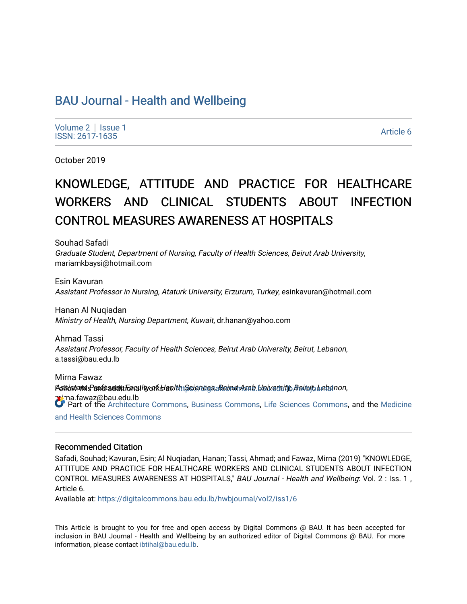# [BAU Journal - Health and Wellbeing](https://digitalcommons.bau.edu.lb/hwbjournal)

[Volume 2](https://digitalcommons.bau.edu.lb/hwbjournal/vol2) | Issue 1 Political Executive Contract of the Second Second Contract of the Second Contract of the [Article 6](https://digitalcommons.bau.edu.lb/hwbjournal/vol2/iss1/6) Article 6 Article 6

October 2019

# KNOWLEDGE, ATTITUDE AND PRACTICE FOR HEALTHCARE WORKERS AND CLINICAL STUDENTS ABOUT INFECTION CONTROL MEASURES AWARENESS AT HOSPITALS

Souhad Safadi Graduate Student, Department of Nursing, Faculty of Health Sciences, Beirut Arab University, mariamkbaysi@hotmail.com

Esin Kavuran Assistant Professor in Nursing, Ataturk University, Erzurum, Turkey, esinkavuran@hotmail.com

Hanan Al Nuqiadan Ministry of Health, Nursing Department, Kuwait, dr.hanan@yahoo.com

Ahmad Tassi Assistant Professor, Faculty of Health Sciences, Beirut Arab University, Beirut, Lebanon, a.tassi@bau.edu.lb

Mirna Fawaz Polsisitatni Pante sekhtara liw of kHaalth tSeienuga, Reinut Arab. Yaivetsity, Beinyt, Lebanon, **m**irna.fawaz@bau.edu.lb Part of the [Architecture Commons](http://network.bepress.com/hgg/discipline/773?utm_source=digitalcommons.bau.edu.lb%2Fhwbjournal%2Fvol2%2Fiss1%2F6&utm_medium=PDF&utm_campaign=PDFCoverPages), [Business Commons,](http://network.bepress.com/hgg/discipline/622?utm_source=digitalcommons.bau.edu.lb%2Fhwbjournal%2Fvol2%2Fiss1%2F6&utm_medium=PDF&utm_campaign=PDFCoverPages) [Life Sciences Commons](http://network.bepress.com/hgg/discipline/1016?utm_source=digitalcommons.bau.edu.lb%2Fhwbjournal%2Fvol2%2Fiss1%2F6&utm_medium=PDF&utm_campaign=PDFCoverPages), and the [Medicine](http://network.bepress.com/hgg/discipline/648?utm_source=digitalcommons.bau.edu.lb%2Fhwbjournal%2Fvol2%2Fiss1%2F6&utm_medium=PDF&utm_campaign=PDFCoverPages) 

[and Health Sciences Commons](http://network.bepress.com/hgg/discipline/648?utm_source=digitalcommons.bau.edu.lb%2Fhwbjournal%2Fvol2%2Fiss1%2F6&utm_medium=PDF&utm_campaign=PDFCoverPages)

#### Recommended Citation

Safadi, Souhad; Kavuran, Esin; Al Nuqiadan, Hanan; Tassi, Ahmad; and Fawaz, Mirna (2019) "KNOWLEDGE, ATTITUDE AND PRACTICE FOR HEALTHCARE WORKERS AND CLINICAL STUDENTS ABOUT INFECTION CONTROL MEASURES AWARENESS AT HOSPITALS," BAU Journal - Health and Wellbeing: Vol. 2 : Iss. 1 , Article 6.

Available at: [https://digitalcommons.bau.edu.lb/hwbjournal/vol2/iss1/6](https://digitalcommons.bau.edu.lb/hwbjournal/vol2/iss1/6?utm_source=digitalcommons.bau.edu.lb%2Fhwbjournal%2Fvol2%2Fiss1%2F6&utm_medium=PDF&utm_campaign=PDFCoverPages) 

This Article is brought to you for free and open access by Digital Commons @ BAU. It has been accepted for inclusion in BAU Journal - Health and Wellbeing by an authorized editor of Digital Commons @ BAU. For more information, please contact [ibtihal@bau.edu.lb.](mailto:ibtihal@bau.edu.lb)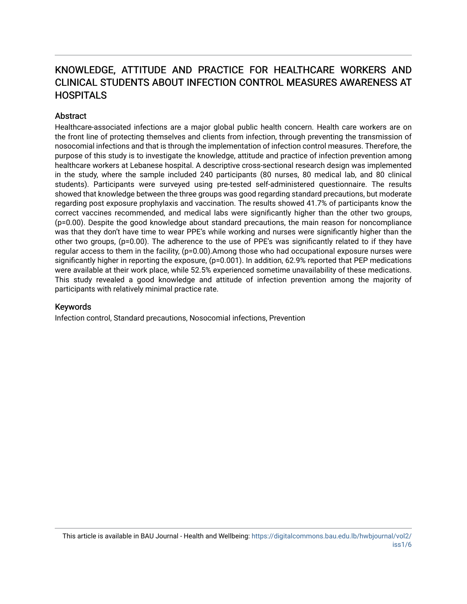# KNOWLEDGE, ATTITUDE AND PRACTICE FOR HEALTHCARE WORKERS AND CLINICAL STUDENTS ABOUT INFECTION CONTROL MEASURES AWARENESS AT **HOSPITALS**

# **Abstract**

Healthcare-associated infections are a major global public health concern. Health care workers are on the front line of protecting themselves and clients from infection, through preventing the transmission of nosocomial infections and that is through the implementation of infection control measures. Therefore, the purpose of this study is to investigate the knowledge, attitude and practice of infection prevention among healthcare workers at Lebanese hospital. A descriptive cross-sectional research design was implemented in the study, where the sample included 240 participants (80 nurses, 80 medical lab, and 80 clinical students). Participants were surveyed using pre-tested self-administered questionnaire. The results showed that knowledge between the three groups was good regarding standard precautions, but moderate regarding post exposure prophylaxis and vaccination. The results showed 41.7% of participants know the correct vaccines recommended, and medical labs were significantly higher than the other two groups, (p=0.00). Despite the good knowledge about standard precautions, the main reason for noncompliance was that they don't have time to wear PPE's while working and nurses were significantly higher than the other two groups, (p=0.00). The adherence to the use of PPE's was significantly related to if they have regular access to them in the facility, (p=0.00). Among those who had occupational exposure nurses were significantly higher in reporting the exposure, (p=0.001). In addition, 62.9% reported that PEP medications were available at their work place, while 52.5% experienced sometime unavailability of these medications. This study revealed a good knowledge and attitude of infection prevention among the majority of participants with relatively minimal practice rate.

#### Keywords

Infection control, Standard precautions, Nosocomial infections, Prevention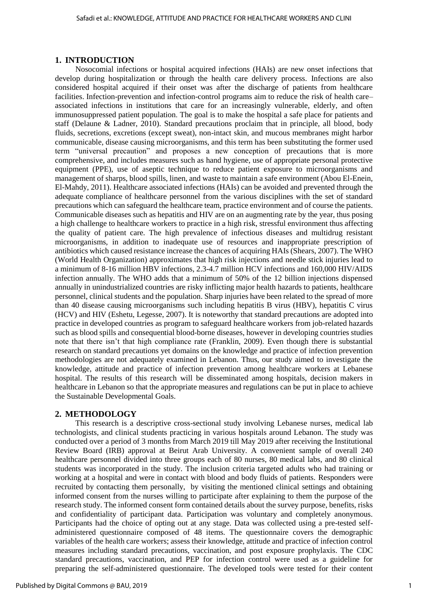## **1. INTRODUCTION**

Nosocomial infections or hospital acquired infections (HAIs) are new onset infections that develop during hospitalization or through the health care delivery process. Infections are also considered hospital acquired if their onset was after the discharge of patients from healthcare facilities. Infection-prevention and infection-control programs aim to reduce the risk of health care– associated infections in institutions that care for an increasingly vulnerable, elderly, and often immunosuppressed patient population. The goal is to make the hospital a safe place for patients and staff (Delaune & Ladner, 2010). Standard precautions proclaim that in principle, all blood, body fluids, secretions, excretions (except sweat), non-intact skin, and mucous membranes might harbor communicable, disease causing microorganisms, and this term has been substituting the former used term "universal precaution" and proposes a new conception of precautions that is more comprehensive, and includes measures such as hand hygiene, use of appropriate personal protective equipment (PPE), use of aseptic technique to reduce patient exposure to microorganisms and management of sharps, blood spills, linen, and waste to maintain a safe environment (Abou El-Enein, El-Mahdy, 2011). Healthcare associated infections (HAIs) can be avoided and prevented through the adequate compliance of healthcare personnel from the various disciplines with the set of standard precautions which can safeguard the healthcare team, practice environment and of course the patients. Communicable diseases such as hepatitis and HIV are on an augmenting rate by the year, thus posing a high challenge to healthcare workers to practice in a high risk, stressful environment thus affecting the quality of patient care. The high prevalence of infectious diseases and multidrug resistant microorganisms, in addition to inadequate use of resources and inappropriate prescription of antibiotics which caused resistance increase the chances of acquiring HAIs (Shears, 2007). The WHO (World Health Organization) approximates that high risk injections and needle stick injuries lead to a minimum of 8-16 million HBV infections, 2.3-4.7 million HCV infections and 160,000 HIV/AIDS infection annually. The WHO adds that a minimum of 50% of the 12 billion injections dispensed annually in unindustrialized countries are risky inflicting major health hazards to patients, healthcare personnel, clinical students and the population. Sharp injuries have been related to the spread of more than 40 disease causing microorganisms such including hepatitis B virus (HBV), hepatitis C virus (HCV) and HIV (Eshetu, Legesse, 2007). It is noteworthy that standard precautions are adopted into practice in developed countries as program to safeguard healthcare workers from job-related hazards such as blood spills and consequential blood-borne diseases, however in developing countries studies note that there isn't that high compliance rate (Franklin, 2009). Even though there is substantial research on standard precautions yet domains on the knowledge and practice of infection prevention methodologies are not adequately examined in Lebanon. Thus, our study aimed to investigate the knowledge, attitude and practice of infection prevention among healthcare workers at Lebanese hospital. The results of this research will be disseminated among hospitals, decision makers in healthcare in Lebanon so that the appropriate measures and regulations can be put in place to achieve the Sustainable Developmental Goals.

#### **2. METHODOLOGY**

This research is a descriptive cross-sectional study involving Lebanese nurses, medical lab technologists, and clinical students practicing in various hospitals around Lebanon. The study was conducted over a period of 3 months from March 2019 till May 2019 after receiving the Institutional Review Board (IRB) approval at Beirut Arab University. A convenient sample of overall 240 healthcare personnel divided into three groups each of 80 nurses, 80 medical labs, and 80 clinical students was incorporated in the study. The inclusion criteria targeted adults who had training or working at a hospital and were in contact with blood and body fluids of patients. Responders were recruited by contacting them personally, by visiting the mentioned clinical settings and obtaining informed consent from the nurses willing to participate after explaining to them the purpose of the research study. The informed consent form contained details about the survey purpose, benefits, risks and confidentiality of participant data. Participation was voluntary and completely anonymous. Participants had the choice of opting out at any stage. Data was collected using a pre-tested selfadministered questionnaire composed of 48 items. The questionnaire covers the demographic variables of the health care workers; assess their knowledge, attitude and practice of infection control measures including standard precautions, vaccination, and post exposure prophylaxis. The CDC standard precautions, vaccination, and PEP for infection control were used as a guideline for preparing the self-administered questionnaire. The developed tools were tested for their content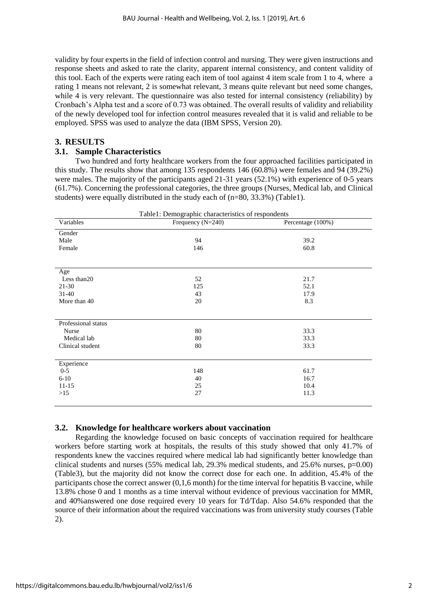validity by four experts in the field of infection control and nursing. They were given instructions and response sheets and asked to rate the clarity, apparent internal consistency, and content validity of this tool. Each of the experts were rating each item of tool against 4 item scale from 1 to 4, where a rating 1 means not relevant, 2 is somewhat relevant, 3 means quite relevant but need some changes, while 4 is very relevant. The questionnaire was also tested for internal consistency (reliability) by Cronbach's Alpha test and a score of 0.73 was obtained. The overall results of validity and reliability of the newly developed tool for infection control measures revealed that it is valid and reliable to be employed. SPSS was used to analyze the data (IBM SPSS, Version 20).

# **3. RESULTS**

# **3.1. Sample Characteristics**

Two hundred and forty healthcare workers from the four approached facilities participated in this study. The results show that among 135 respondents 146 (60.8%) were females and 94 (39.2%) were males. The majority of the participants aged 21-31 years (52.1%) with experience of 0-5 years (61.7%). Concerning the professional categories, the three groups (Nurses, Medical lab, and Clinical students) were equally distributed in the study each of  $(n=80, 33.3\%)$  (Table1).

| Table1: Demographic characteristics of respondents |                   |                   |  |  |  |  |
|----------------------------------------------------|-------------------|-------------------|--|--|--|--|
| Variables                                          | Frequency (N=240) | Percentage (100%) |  |  |  |  |
| Gender                                             |                   |                   |  |  |  |  |
| Male                                               | 94                | 39.2              |  |  |  |  |
| Female                                             | 146               | 60.8              |  |  |  |  |
|                                                    |                   |                   |  |  |  |  |
| Age                                                |                   |                   |  |  |  |  |
| Less than 20                                       | 52                | 21.7              |  |  |  |  |
| $21-30$                                            | 125               | 52.1              |  |  |  |  |
| $31-40$                                            | 43                | 17.9              |  |  |  |  |
| More than 40                                       | 20                | 8.3               |  |  |  |  |
|                                                    |                   |                   |  |  |  |  |
| Professional status                                |                   |                   |  |  |  |  |
| Nurse                                              | 80                | 33.3              |  |  |  |  |
| Medical lab                                        | 80                | 33.3              |  |  |  |  |
| Clinical student                                   | 80                | 33.3              |  |  |  |  |
|                                                    |                   |                   |  |  |  |  |
| Experience                                         |                   |                   |  |  |  |  |
| $0 - 5$                                            | 148               | 61.7              |  |  |  |  |
| $6 - 10$                                           | 40                | 16.7              |  |  |  |  |
| $11 - 15$                                          | 25                | 10.4              |  |  |  |  |
| $>15$                                              | 27                | 11.3              |  |  |  |  |
|                                                    |                   |                   |  |  |  |  |

# **3.2. Knowledge for healthcare workers about vaccination**

Regarding the knowledge focused on basic concepts of vaccination required for healthcare workers before starting work at hospitals, the results of this study showed that only 41.7% of respondents knew the vaccines required where medical lab had significantly better knowledge than clinical students and nurses (55% medical lab, 29.3% medical students, and 25.6% nurses, p=0.00) (Table3), but the majority did not know the correct dose for each one. In addition, 45.4% of the participants chose the correct answer (0,1,6 month) for the time interval for hepatitis B vaccine, while 13.8% chose 0 and 1 months as a time interval without evidence of previous vaccination for MMR, and 40%answered one dose required every 10 years for Td/Tdap. Also 54.6% responded that the source of their information about the required vaccinations was from university study courses (Table 2).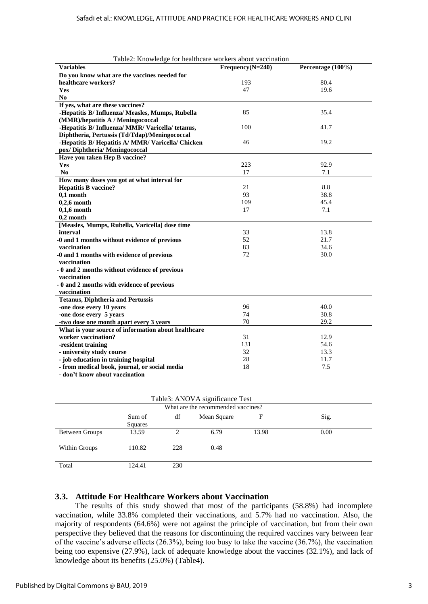| Table <sub>2</sub> . Knowledge for heatticale workers about vaccination |                    |                   |
|-------------------------------------------------------------------------|--------------------|-------------------|
| <b>Variables</b>                                                        | $Frequency(N=240)$ | Percentage (100%) |
| Do you know what are the vaccines needed for                            |                    |                   |
| healthcare workers?                                                     | 193                | 80.4              |
| <b>Yes</b>                                                              | 47                 | 19.6              |
| N <sub>0</sub>                                                          |                    |                   |
| If yes, what are these vaccines?                                        |                    |                   |
| -Hepatitis B/ Influenza/ Measles, Mumps, Rubella                        | 85                 | 35.4              |
| (MMR)/hepatitis A / Meningococcal                                       |                    |                   |
| -Hepatitis B/Influenza/MMR/Varicella/tetanus,                           | 100                | 41.7              |
| Diphtheria, Pertussis (Td/Tdap)/Meningococcal                           |                    |                   |
| -Hepatitis B/Hepatitis A/MMR/Varicella/Chicken                          | 46                 | 19.2              |
| pox/ Diphtheria/ Meningococcal                                          |                    |                   |
| Have you taken Hep B vaccine?                                           |                    |                   |
| Yes                                                                     | 223                | 92.9              |
| No                                                                      | 17                 | 7.1               |
| How many doses you got at what interval for                             |                    |                   |
| <b>Hepatitis B vaccine?</b>                                             | 21                 | 8.8               |
| $0.1$ month                                                             | 93                 | 38.8              |
| $0,2,6$ month                                                           | 109                | 45.4              |
| $0,1,6$ month                                                           | 17                 | 7.1               |
| $0,2$ month                                                             |                    |                   |
| [Measles, Mumps, Rubella, Varicella] dose time                          |                    |                   |
| interval                                                                | 33                 | 13.8              |
| -0 and 1 months without evidence of previous                            | 52                 | 21.7              |
| vaccination                                                             | 83                 | 34.6              |
| -0 and 1 months with evidence of previous                               | 72                 | 30.0              |
| vaccination                                                             |                    |                   |
| - 0 and 2 months without evidence of previous                           |                    |                   |
| vaccination                                                             |                    |                   |
| - 0 and 2 months with evidence of previous                              |                    |                   |
| vaccination                                                             |                    |                   |
| <b>Tetanus, Diphtheria and Pertussis</b>                                |                    |                   |
| -one dose every 10 years                                                | 96                 | 40.0              |
| -one dose every 5 years                                                 | 74                 | 30.8              |
| -two dose one month apart every 3 years                                 | 70                 | 29.2              |
| What is your source of information about healthcare                     |                    |                   |
| worker vaccination?                                                     | 31                 | 12.9              |
| -resident training                                                      | 131                | 54.6              |
| - university study course                                               | 32                 | 13.3              |
| - job education in training hospital                                    | 28                 | 11.7              |
| - from medical book, journal, or social media                           | 18                 | 7.5               |
| - don't know about vaccination                                          |                    |                   |

|  | Table2: Knowledge for healthcare workers about vaccination |  |
|--|------------------------------------------------------------|--|
|  |                                                            |  |

Table3: ANOVA significance Test

| What are the recommended vaccines? |                   |     |             |       |      |  |  |
|------------------------------------|-------------------|-----|-------------|-------|------|--|--|
|                                    | Sum of<br>Squares | df  | Mean Square | F     | Sig. |  |  |
| <b>Between Groups</b>              | 13.59             |     | 6.79        | 13.98 | 0.00 |  |  |
| Within Groups                      | 110.82            | 228 | 0.48        |       |      |  |  |
| Total                              | 124.41            | 230 |             |       |      |  |  |

#### **3.3. Attitude For Healthcare Workers about Vaccination**

The results of this study showed that most of the participants (58.8%) had incomplete vaccination, while 33.8% completed their vaccinations, and 5.7% had no vaccination. Also, the majority of respondents (64.6%) were not against the principle of vaccination, but from their own perspective they believed that the reasons for discontinuing the required vaccines vary between fear of the vaccine's adverse effects (26.3%), being too busy to take the vaccine (36.7%), the vaccination being too expensive (27.9%), lack of adequate knowledge about the vaccines (32.1%), and lack of knowledge about its benefits (25.0%) (Table4).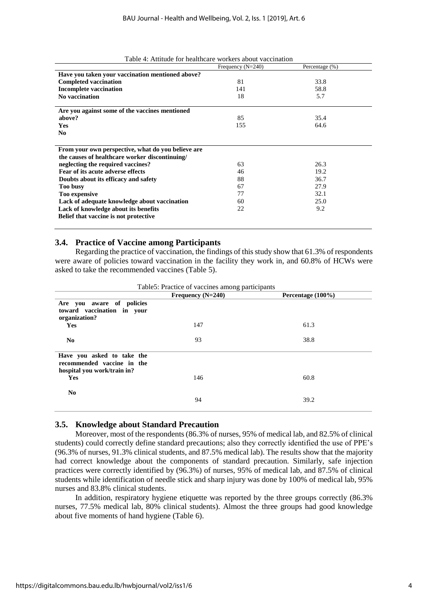|                                                    | Frequency $(N=240)$ | Percentage $(\% )$ |
|----------------------------------------------------|---------------------|--------------------|
| Have you taken your vaccination mentioned above?   |                     |                    |
| <b>Completed vaccination</b>                       | 81                  | 33.8               |
| <b>Incomplete vaccination</b>                      | 141                 | 58.8               |
| No vaccination                                     | 18                  | 5.7                |
|                                                    |                     |                    |
| Are you against some of the vaccines mentioned     |                     |                    |
| above?                                             | 85                  | 35.4               |
| <b>Yes</b>                                         | 155                 | 64.6               |
| N <sub>0</sub>                                     |                     |                    |
|                                                    |                     |                    |
| From your own perspective, what do you believe are |                     |                    |
| the causes of healthcare worker discontinuing/     |                     |                    |
| neglecting the required vaccines?                  | 63                  | 26.3               |
| Fear of its acute adverse effects                  | 46                  | 19.2               |
| Doubts about its efficacy and safety               | 88                  | 36.7               |
| <b>Too busy</b>                                    | 67                  | 27.9               |
| Too expensive                                      | 77                  | 32.1               |
| Lack of adequate knowledge about vaccination       | 60                  | 25.0               |
| Lack of knowledge about its benefits               | 22                  | 9.2                |
| Belief that vaccine is not protective              |                     |                    |
|                                                    |                     |                    |

Table 4: Attitude for healthcare workers about vaccination

#### **3.4. Practice of Vaccine among Participants**

Regarding the practice of vaccination, the findings of this study show that 61.3% of respondents were aware of policies toward vaccination in the facility they work in, and 60.8% of HCWs were asked to take the recommended vaccines (Table 5).

|                                                                                         | Frequency $(N=240)$ | Percentage (100%) |
|-----------------------------------------------------------------------------------------|---------------------|-------------------|
| Are you aware of policies<br>toward vaccination in your<br>organization?                |                     |                   |
| <b>Yes</b>                                                                              | 147                 | 61.3              |
| No.                                                                                     | 93                  | 38.8              |
| Have you asked to take the<br>recommended vaccine in the<br>hospital you work/train in? |                     |                   |
| <b>Yes</b>                                                                              | 146                 | 60.8              |
| N <sub>0</sub>                                                                          | 94                  | 39.2              |

Table5: Practice of vaccines among participants

#### **3.5. Knowledge about Standard Precaution**

Moreover, most of the respondents (86.3% of nurses, 95% of medical lab, and 82.5% of clinical students) could correctly define standard precautions; also they correctly identified the use of PPE's (96.3% of nurses, 91.3% clinical students, and 87.5% medical lab). The results show that the majority had correct knowledge about the components of standard precaution. Similarly, safe injection practices were correctly identified by (96.3%) of nurses, 95% of medical lab, and 87.5% of clinical students while identification of needle stick and sharp injury was done by 100% of medical lab, 95% nurses and 83.8% clinical students.

In addition, respiratory hygiene etiquette was reported by the three groups correctly (86.3% nurses, 77.5% medical lab, 80% clinical students). Almost the three groups had good knowledge about five moments of hand hygiene (Table 6).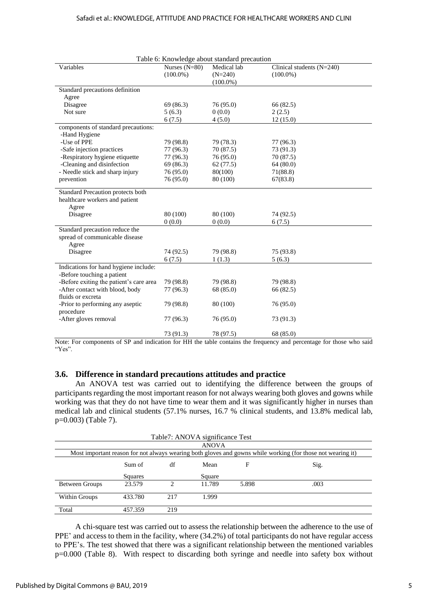|                                                                  | Table 6: Knowledge about standard precaution |                                         |                                            |  |  |  |  |  |
|------------------------------------------------------------------|----------------------------------------------|-----------------------------------------|--------------------------------------------|--|--|--|--|--|
| Variables                                                        | Nurses $(N=80)$<br>$(100.0\%)$               | Medical lab<br>$(N=240)$<br>$(100.0\%)$ | Clinical students $(N=240)$<br>$(100.0\%)$ |  |  |  |  |  |
| Standard precautions definition                                  |                                              |                                         |                                            |  |  |  |  |  |
| Agree                                                            |                                              |                                         |                                            |  |  |  |  |  |
| Disagree                                                         | 69 (86.3)                                    | 76 (95.0)                               | 66 (82.5)                                  |  |  |  |  |  |
| Not sure                                                         | 5(6.3)                                       | 0(0.0)                                  | 2(2.5)                                     |  |  |  |  |  |
|                                                                  | 6(7.5)                                       | 4(5.0)                                  | 12(15.0)                                   |  |  |  |  |  |
| components of standard precautions:<br>-Hand Hygiene             |                                              |                                         |                                            |  |  |  |  |  |
| -Use of PPE                                                      | 79 (98.8)                                    | 79 (78.3)                               | 77 (96.3)                                  |  |  |  |  |  |
| -Safe injection practices                                        | 77 (96.3)                                    | 70 (87.5)                               | 73 (91.3)                                  |  |  |  |  |  |
| -Respiratory hygiene etiquette                                   | 77 (96.3)                                    | 76 (95.0)                               | 70 (87.5)                                  |  |  |  |  |  |
| -Cleaning and disinfection                                       | 69 (86.3)                                    | 62(77.5)                                | 64 (80.0)                                  |  |  |  |  |  |
| - Needle stick and sharp injury                                  | 76 (95.0)                                    | 80(100)                                 | 71(88.8)                                   |  |  |  |  |  |
| prevention                                                       | 76 (95.0)                                    | 80 (100)                                | 67(83.8)                                   |  |  |  |  |  |
| Standard Precaution protects both                                |                                              |                                         |                                            |  |  |  |  |  |
| healthcare workers and patient                                   |                                              |                                         |                                            |  |  |  |  |  |
| Agree                                                            |                                              |                                         |                                            |  |  |  |  |  |
| Disagree                                                         | 80 (100)                                     | 80 (100)                                | 74 (92.5)                                  |  |  |  |  |  |
|                                                                  | 0(0.0)                                       | 0(0.0)                                  | 6(7.5)                                     |  |  |  |  |  |
| Standard precaution reduce the<br>spread of communicable disease |                                              |                                         |                                            |  |  |  |  |  |
| Agree                                                            |                                              |                                         |                                            |  |  |  |  |  |
| Disagree                                                         | 74 (92.5)                                    | 79 (98.8)<br>1(1.3)                     | 75 (93.8)<br>5(6.3)                        |  |  |  |  |  |
| Indications for hand hygiene include:                            | 6(7.5)                                       |                                         |                                            |  |  |  |  |  |
| -Before touching a patient                                       |                                              |                                         |                                            |  |  |  |  |  |
| -Before exiting the patient's care area                          | 79 (98.8)                                    | 79 (98.8)                               | 79 (98.8)                                  |  |  |  |  |  |
| -After contact with blood, body                                  | 77 (96.3)                                    | 68 (85.0)                               | 66 (82.5)                                  |  |  |  |  |  |
| fluids or excreta                                                |                                              |                                         |                                            |  |  |  |  |  |
| -Prior to performing any aseptic                                 | 79 (98.8)                                    | 80 (100)                                | 76 (95.0)                                  |  |  |  |  |  |
| procedure                                                        |                                              |                                         |                                            |  |  |  |  |  |
| -After gloves removal                                            | 77 (96.3)                                    | 76 (95.0)                               | 73 (91.3)                                  |  |  |  |  |  |
|                                                                  | 73 (91.3)                                    | 78 (97.5)                               | 68 (85.0)                                  |  |  |  |  |  |

Note: For components of SP and indication for HH the table contains the frequency and percentage for those who said "Yes".

#### **3.6. Difference in standard precautions attitudes and practice**

An ANOVA test was carried out to identifying the difference between the groups of participants regarding the most important reason for not always wearing both gloves and gowns while working was that they do not have time to wear them and it was significantly higher in nurses than medical lab and clinical students (57.1% nurses, 16.7 % clinical students, and 13.8% medical lab, p=0.003) (Table 7).

|                |                                                                                                             |     | Table7: ANOVA significance Test |       |      |  |  |
|----------------|-------------------------------------------------------------------------------------------------------------|-----|---------------------------------|-------|------|--|--|
|                |                                                                                                             |     | <b>ANOVA</b>                    |       |      |  |  |
|                | Most important reason for not always wearing both gloves and gowns while working (for those not wearing it) |     |                                 |       |      |  |  |
|                | Sum of                                                                                                      | df  | Mean                            | F     | Sig. |  |  |
|                | Squares                                                                                                     |     | Square                          |       |      |  |  |
| Between Groups | 23.579                                                                                                      | ↑   | 11.789                          | 5.898 | .003 |  |  |
| Within Groups  | 433.780                                                                                                     | 217 | 1.999                           |       |      |  |  |
| Total          | 457.359                                                                                                     | 219 |                                 |       |      |  |  |

A chi-square test was carried out to assess the relationship between the adherence to the use of PPE' and access to them in the facility, where (34.2%) of total participants do not have regular access to PPE's. The test showed that there was a significant relationship between the mentioned variables p=0.000 (Table 8). With respect to discarding both syringe and needle into safety box without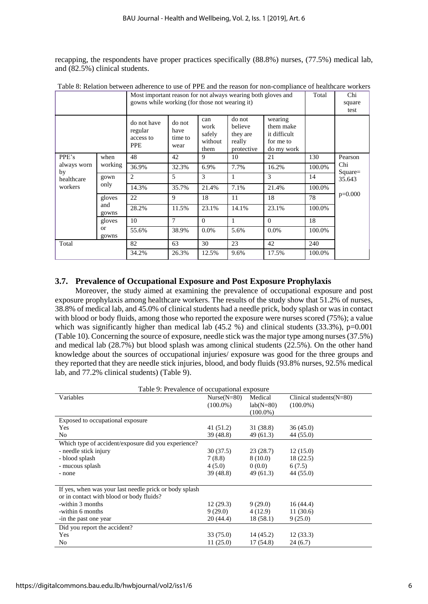recapping, the respondents have proper practices specifically (88.8%) nurses, (77.5%) medical lab, and (82.5%) clinical students.

|                   |                    | Most important reason for not always wearing both gloves and<br>gowns while working (for those not wearing it) |                                   |                                          |                                                       |                                                                 |        | Chi<br>square<br>test |
|-------------------|--------------------|----------------------------------------------------------------------------------------------------------------|-----------------------------------|------------------------------------------|-------------------------------------------------------|-----------------------------------------------------------------|--------|-----------------------|
|                   |                    | do not have<br>regular<br>access to<br><b>PPE</b>                                                              | do not<br>have<br>time to<br>wear | can<br>work<br>safely<br>without<br>them | do not<br>believe<br>they are<br>really<br>protective | wearing<br>them make<br>it difficult<br>for me to<br>do my work |        |                       |
| PPE's             | when<br>working    | 48                                                                                                             | 42                                | 9                                        | 10                                                    | 21                                                              | 130    | Pearson               |
| always worn<br>by |                    | 36.9%                                                                                                          | 32.3%                             | 6.9%                                     | 7.7%                                                  | 16.2%                                                           | 100.0% | Chi<br>$Square =$     |
| healthcare        | gown<br>only       | 2                                                                                                              | 5                                 | 3                                        | 1                                                     | 3                                                               | 14     | 35.643                |
| workers           |                    | 14.3%                                                                                                          | 35.7%                             | 21.4%                                    | 7.1%                                                  | 21.4%                                                           | 100.0% |                       |
|                   | gloves             | 22                                                                                                             | 9                                 | 18                                       | 11                                                    | 18                                                              | 78     | $p=0.000$             |
|                   | and<br>gowns       | 28.2%                                                                                                          | 11.5%                             | 23.1%                                    | 14.1%                                                 | 23.1%                                                           | 100.0% |                       |
|                   | gloves             | 10                                                                                                             | 7                                 | $\Omega$                                 | 1                                                     | $\Omega$                                                        | 18     |                       |
|                   | <b>or</b><br>gowns | 55.6%                                                                                                          | 38.9%                             | 0.0%                                     | 5.6%                                                  | $0.0\%$                                                         | 100.0% |                       |
| Total             |                    | 82                                                                                                             | 63                                | 30                                       | 23                                                    | 42                                                              | 240    |                       |
|                   |                    | 34.2%                                                                                                          | 26.3%                             | 12.5%                                    | 9.6%                                                  | 17.5%                                                           | 100.0% |                       |

Table 8: Relation between adherence to use of PPE and the reason for non-compliance of healthcare workers

## **3.7. Prevalence of Occupational Exposure and Post Exposure Prophylaxis**

Moreover, the study aimed at examining the prevalence of occupational exposure and post exposure prophylaxis among healthcare workers. The results of the study show that 51.2% of nurses, 38.8% of medical lab, and 45.0% of clinical students had a needle prick, body splash or was in contact with blood or body fluids, among those who reported the exposure were nurses scored (75%); a value which was significantly higher than medical lab  $(45.2 \%)$  and clinical students  $(33.3\%)$ , p=0.001 (Table 10). Concerning the source of exposure, needle stick was the major type among nurses (37.5%) and medical lab (28.7%) but blood splash was among clinical students (22.5%). On the other hand knowledge about the sources of occupational injuries/ exposure was good for the three groups and they reported that they are needle stick injuries, blood, and body fluids (93.8% nurses, 92.5% medical lab, and 77.2% clinical students) (Table 9).

| Table 9: Prevalence of occupational exposure           |               |             |                            |  |  |  |
|--------------------------------------------------------|---------------|-------------|----------------------------|--|--|--|
| Variables                                              | $Nurse(N=80)$ | Medical     | Clinical students $(N=80)$ |  |  |  |
|                                                        | $(100.0\%)$   | $lab(N=80)$ | $(100.0\%)$                |  |  |  |
|                                                        |               | $(100.0\%)$ |                            |  |  |  |
| Exposed to occupational exposure                       |               |             |                            |  |  |  |
| Yes                                                    | 41 (51.2)     | 31 (38.8)   | 36(45.0)                   |  |  |  |
| N <sub>0</sub>                                         | 39 (48.8)     | 49 (61.3)   | 44 (55.0)                  |  |  |  |
| Which type of accident/exposure did you experience?    |               |             |                            |  |  |  |
| - needle stick injury                                  | 30 (37.5)     | 23(28.7)    | 12(15.0)                   |  |  |  |
| - blood splash                                         | 7(8.8)        | 8(10.0)     | 18 (22.5)                  |  |  |  |
| - mucous splash                                        | 4(5.0)        | 0(0.0)      | 6(7.5)                     |  |  |  |
| - none                                                 | 39 (48.8)     | 49 (61.3)   | 44 (55.0)                  |  |  |  |
|                                                        |               |             |                            |  |  |  |
| If yes, when was your last needle prick or body splash |               |             |                            |  |  |  |
| or in contact with blood or body fluids?               |               |             |                            |  |  |  |
| -within 3 months                                       | 12(29.3)      | 9(29.0)     | 16(44.4)                   |  |  |  |
| -within 6 months                                       | 9(29.0)       | 4 (12.9)    | 11(30.6)                   |  |  |  |
| -in the past one year                                  | 20 (44.4)     | 18(58.1)    | 9(25.0)                    |  |  |  |
| Did you report the accident?                           |               |             |                            |  |  |  |
| Yes                                                    | 33 (75.0)     | 14(45.2)    | 12(33.3)                   |  |  |  |
| N <sub>0</sub>                                         | 11(25.0)      | 17 (54.8)   | 24(6.7)                    |  |  |  |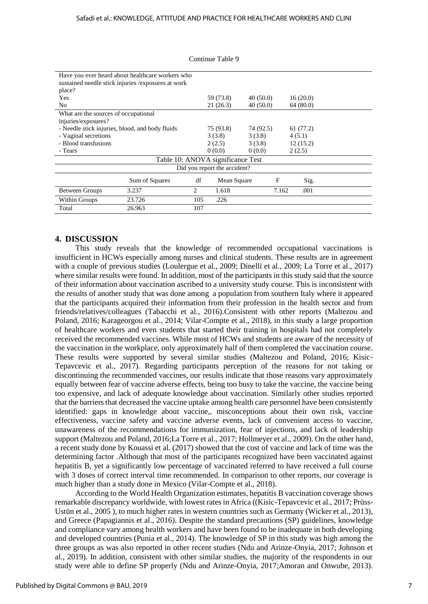|                                                 | Have you ever heard about healthcare workers who<br>sustained needle stick injuries / exposures at work |     |                              |           |       |          |  |
|-------------------------------------------------|---------------------------------------------------------------------------------------------------------|-----|------------------------------|-----------|-------|----------|--|
| place?                                          |                                                                                                         |     |                              |           |       |          |  |
| Yes                                             |                                                                                                         |     | 59 (73.8)                    | 40(50.0)  |       | 16(20.0) |  |
| N <sub>0</sub>                                  |                                                                                                         |     | 21(26.3)                     | 40(50.0)  |       | 64(80.0) |  |
| What are the sources of occupational            |                                                                                                         |     |                              |           |       |          |  |
| injuries/exposures?                             |                                                                                                         |     |                              |           |       |          |  |
| - Needle stick injuries, blood, and body fluids |                                                                                                         |     | 75 (93.8)                    | 74 (92.5) |       | 61(77.2) |  |
| - Vaginal secretions                            |                                                                                                         |     | 3(3.8)                       | 3(3.8)    |       | 4(5.1)   |  |
| - Blood transfusions                            |                                                                                                         |     | 2(2.5)                       | 3(3.8)    |       | 12(15.2) |  |
| - Tears                                         |                                                                                                         |     | 0(0.0)                       | 0(0.0)    |       | 2(2.5)   |  |
|                                                 | Table 10: ANOVA significance Test                                                                       |     |                              |           |       |          |  |
|                                                 |                                                                                                         |     | Did you report the accident? |           |       |          |  |
|                                                 | Sum of Squares                                                                                          | df  | Mean Square                  |           | F     | Sig.     |  |
| <b>Between Groups</b>                           | 3.237                                                                                                   | 2   | 1.618                        |           | 7.162 | .001     |  |
| Within Groups                                   | 23.726                                                                                                  | 105 | .226                         |           |       |          |  |
| Total                                           | 26.963                                                                                                  | 107 |                              |           |       |          |  |

#### Continue Table 9

## **4. DISCUSSION**

This study reveals that the knowledge of recommended occupational vaccinations is insufficient in HCWs especially among nurses and clinical students. These results are in agreement with a couple of previous studies (Loulergue et al., 2009; Dinelli et al., 2009; La Torre et al., 2017) where similar results were found. In addition, most of the participants in this study said that the source of their information about vaccination ascribed to a university study course. This is inconsistent with the results of another study that was done among a population from southern Italy where it appeared that the participants acquired their information from their profession in the health sector and from friends/relatives/colleagues (Tabacchi et al., 2016).Consistent with other reports (Maltezou and Poland, 2016; Karageorgou et al., 2014; Vilar-Compte et al., 2018), in this study a large proportion of healthcare workers and even students that started their training in hospitals had not completely received the recommended vaccines. While most of HCWs and students are aware of the necessity of the vaccination in the workplace, only approximately half of them completed the vaccination course. These results were supported by several similar studies (Maltezou and Poland, 2016; Kisic-Tepavcevic et al., 2017). Regarding participants perception of the reasons for not taking or discontinuing the recommended vaccines, our results indicate that those reasons vary approximately equally between fear of vaccine adverse effects, being too busy to take the vaccine, the vaccine being too expensive, and lack of adequate knowledge about vaccination. Similarly other studies reported that the barriers that decreased the vaccine uptake among health care personnel have been consistently identified: gaps in knowledge about vaccine,, misconceptions about their own risk, vaccine effectiveness, vaccine safety and vaccine adverse events, lack of convenient access to vaccine, unawareness of the recommendations for immunization, fear of injections, and lack of leadership support (Maltezou and Poland, 2016;La Torre et al., 2017; Hollmeyer et al., 2009). On the other hand, a recent study done by Kouassi et al. (2017) showed that the cost of vaccine and lack of time was the determining factor .Although that most of the participants recognized have been vaccinated against hepatitis B, yet a significantly low percentage of vaccinated referred to have received a full course with 3 doses of correct interval time recommended. In comparison to other reports, our coverage is much higher than a study done in Mexico (Vilar-Compte et al., 2018).

According to the World Health Organization estimates, hepatitis B vaccination coverage shows remarkable discrepancy worldwide, with lowest rates in Africa ((Kisic-Tepavcevic et al., 2017; Prüss-Ustün et al., 2005 ), to much higher rates in western countries such as Germany (Wicker et al., 2013), and Greece (Papagiannis et al., 2016). Despite the standard precautions (SP) guidelines, knowledge and compliance vary among health workers and have been found to be inadequate in both developing and developed countries (Punia et al., 2014). The knowledge of SP in this study was high among the three groups as was also reported in other recent studies (Ndu and Arinze-Onyia, 2017; Johnson et al., 2019). In addition, consistent with other similar studies, the majority of the respondents in our study were able to define SP properly (Ndu and Arinze-Onyia, 2017;Amoran and Onwube, 2013).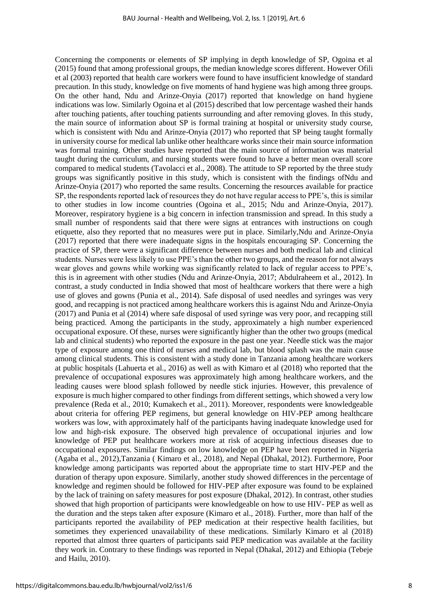Concerning the components or elements of SP implying in depth knowledge of SP, Ogoina et al (2015) found that among professional groups, the median knowledge scores different. However Ofili et al (2003) reported that health care workers were found to have insufficient knowledge of standard precaution. In this study, knowledge on five moments of hand hygiene was high among three groups. On the other hand, Ndu and Arinze-Onyia (2017) reported that knowledge on hand hygiene indications was low. Similarly Ogoina et al (2015) described that low percentage washed their hands after touching patients, after touching patients surrounding and after removing gloves. In this study, the main source of information about SP is formal training at hospital or university study course, which is consistent with Ndu and Arinze-Onyia (2017) who reported that SP being taught formally in university course for medical lab unlike other healthcare works since their main source information was formal training. Other studies have reported that the main source of information was material taught during the curriculum, and nursing students were found to have a better mean overall score compared to medical students (Tavolacci et al., 2008). The attitude to SP reported by the three study groups was significantly positive in this study, which is consistent with the findings ofNdu and Arinze-Onyia (2017) who reported the same results. Concerning the resources available for practice SP, the respondents reported lack of resources they do not have regular access to PPE's, this is similar to other studies in low income countries (Ogoina et al., 2015; Ndu and Arinze-Onyia, 2017). Moreover, respiratory hygiene is a big concern in infection transmission and spread. In this study a small number of respondents said that there were signs at entrances with instructions on cough etiquette, also they reported that no measures were put in place. Similarly,Ndu and Arinze-Onyia (2017) reported that there were inadequate signs in the hospitals encouraging SP. Concerning the practice of SP, there were a significant difference between nurses and both medical lab and clinical students. Nurses were less likely to use PPE's than the other two groups, and the reason for not always wear gloves and gowns while working was significantly related to lack of regular access to PPE's, this is in agreement with other studies (Ndu and Arinze-Onyia, 2017; Abdulraheem et al., 2012). In contrast, a study conducted in India showed that most of healthcare workers that there were a high use of gloves and gowns (Punia et al., 2014). Safe disposal of used needles and syringes was very good, and recapping is not practiced among healthcare workers this is against Ndu and Arinze-Onyia (2017) and Punia et al (2014) where safe disposal of used syringe was very poor, and recapping still being practiced. Among the participants in the study, approximately a high number experienced occupational exposure. Of these, nurses were significantly higher than the other two groups (medical lab and clinical students) who reported the exposure in the past one year. Needle stick was the major type of exposure among one third of nurses and medical lab, but blood splash was the main cause among clinical students. This is consistent with a study done in Tanzania among healthcare workers at public hospitals (Lahuerta et al., 2016) as well as with Kimaro et al (2018) who reported that the prevalence of occupational exposures was approximately high among healthcare workers, and the leading causes were blood splash followed by needle stick injuries. However, this prevalence of exposure is much higher compared to other findings from different settings, which showed a very low prevalence (Reda et al., 2010; Kumakech et al., 2011). Moreover, respondents were knowledgeable about criteria for offering PEP regimens, but general knowledge on HIV-PEP among healthcare workers was low, with approximately half of the participants having inadequate knowledge used for low and high-risk exposure. The observed high prevalence of occupational injuries and low knowledge of PEP put healthcare workers more at risk of acquiring infectious diseases due to occupational exposures. Similar findings on low knowledge on PEP have been reported in Nigeria (Agaba et al., 2012),Tanzania ( Kimaro et al., 2018), and Nepal (Dhakal, 2012). Furthermore, Poor knowledge among participants was reported about the appropriate time to start HIV-PEP and the duration of therapy upon exposure. Similarly, another study showed differences in the percentage of knowledge and regimen should be followed for HIV-PEP after exposure was found to be explained by the lack of training on safety measures for post exposure (Dhakal, 2012). In contrast, other studies showed that high proportion of participants were knowledgeable on how to use HIV- PEP as well as the duration and the steps taken after exposure (Kimaro et al., 2018). Further, more than half of the participants reported the availability of PEP medication at their respective health facilities, but sometimes they experienced unavailability of these medications. Similarly Kimaro et al (2018) reported that almost three quarters of participants said PEP medication was available at the facility they work in. Contrary to these findings was reported in Nepal (Dhakal, 2012) and Ethiopia (Tebeje and Hailu, 2010).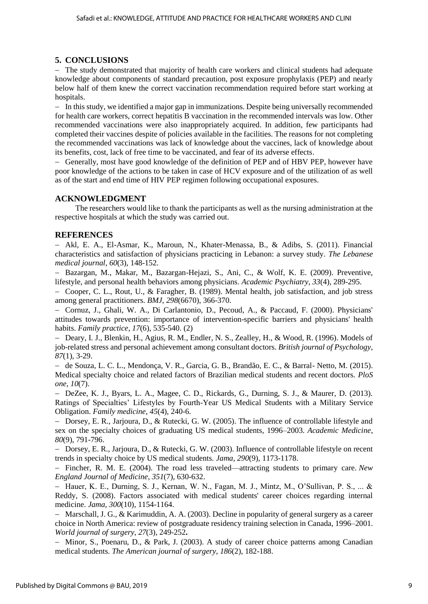# **5. CONCLUSIONS**

- The study demonstrated that majority of health care workers and clinical students had adequate knowledge about components of standard precaution, post exposure prophylaxis (PEP) and nearly below half of them knew the correct vaccination recommendation required before start working at hospitals.

 In this study, we identified a major gap in immunizations. Despite being universally recommended for health care workers, correct hepatitis B vaccination in the recommended intervals was low. Other recommended vaccinations were also inappropriately acquired. In addition, few participants had completed their vaccines despite of policies available in the facilities. The reasons for not completing the recommended vaccinations was lack of knowledge about the vaccines, lack of knowledge about its benefits, cost, lack of free time to be vaccinated, and fear of its adverse effects.

 Generally, most have good knowledge of the definition of PEP and of HBV PEP, however have poor knowledge of the actions to be taken in case of HCV exposure and of the utilization of as well as of the start and end time of HIV PEP regimen following occupational exposures.

# **ACKNOWLEDGMENT**

The researchers would like to thank the participants as well as the nursing administration at the respective hospitals at which the study was carried out.

#### **REFERENCES**

 Akl, E. A., El-Asmar, K., Maroun, N., Khater-Menassa, B., & Adibs, S. (2011). Financial characteristics and satisfaction of physicians practicing in Lebanon: a survey study. *The Lebanese medical journal*, *60*(3), 148-152.

 Bazargan, M., Makar, M., Bazargan-Hejazi, S., Ani, C., & Wolf, K. E. (2009). Preventive, lifestyle, and personal health behaviors among physicians. *Academic Psychiatry*, *33*(4), 289-295.

 Cooper, C. L., Rout, U., & Faragher, B. (1989). Mental health, job satisfaction, and job stress among general practitioners. *BMJ*, *298*(6670), 366-370.

 Cornuz, J., Ghali, W. A., Di Carlantonio, D., Pecoud, A., & Paccaud, F. (2000). Physicians' attitudes towards prevention: importance of intervention-specific barriers and physicians' health habits. *Family practice*, *17*(6), 535-540. (2)

- Deary, I. J., Blenkin, H., Agius, R. M., Endler, N. S., Zealley, H., & Wood, R. (1996). Models of job-related stress and personal achievement among consultant doctors. *British journal of Psychology*, *87*(1), 3-29.

 de Souza, L. C. L., Mendonça, V. R., Garcia, G. B., Brandão, E. C., & Barral- Netto, M. (2015). Medical specialty choice and related factors of Brazilian medical students and recent doctors. *PloS one*, *10*(7).

 DeZee, K. J., Byars, L. A., Magee, C. D., Rickards, G., Durning, S. J., & Maurer, D. (2013). Ratings of Specialties' Lifestyles by Fourth-Year US Medical Students with a Military Service Obligation. *Family medicine*, *45*(4), 240-6.

- Dorsey, E. R., Jarjoura, D., & Rutecki, G. W. (2005). The influence of controllable lifestyle and sex on the specialty choices of graduating US medical students, 1996–2003. *Academic Medicine*, *80*(9), 791-796.

- Dorsey, E. R., Jarjoura, D., & Rutecki, G. W. (2003). Influence of controllable lifestyle on recent trends in specialty choice by US medical students. *Jama*, *290*(9), 1173-1178.

 Fincher, R. M. E. (2004). The road less traveled—attracting students to primary care. *New England Journal of Medicine*, *351*(7), 630-632.

 Hauer, K. E., Durning, S. J., Kernan, W. N., Fagan, M. J., Mintz, M., O'Sullivan, P. S., ... & Reddy, S. (2008). Factors associated with medical students' career choices regarding internal medicine. *Jama*, *300*(10), 1154-1164.

 Marschall, J. G., & Karimuddin, A. A. (2003). Decline in popularity of general surgery as a career choice in North America: review of postgraduate residency training selection in Canada, 1996–2001. *World journal of surgery*, *27*(3), 249-252**.** 

- Minor, S., Poenaru, D., & Park, J. (2003). A study of career choice patterns among Canadian medical students. *The American journal of surgery*, *186*(2), 182-188.